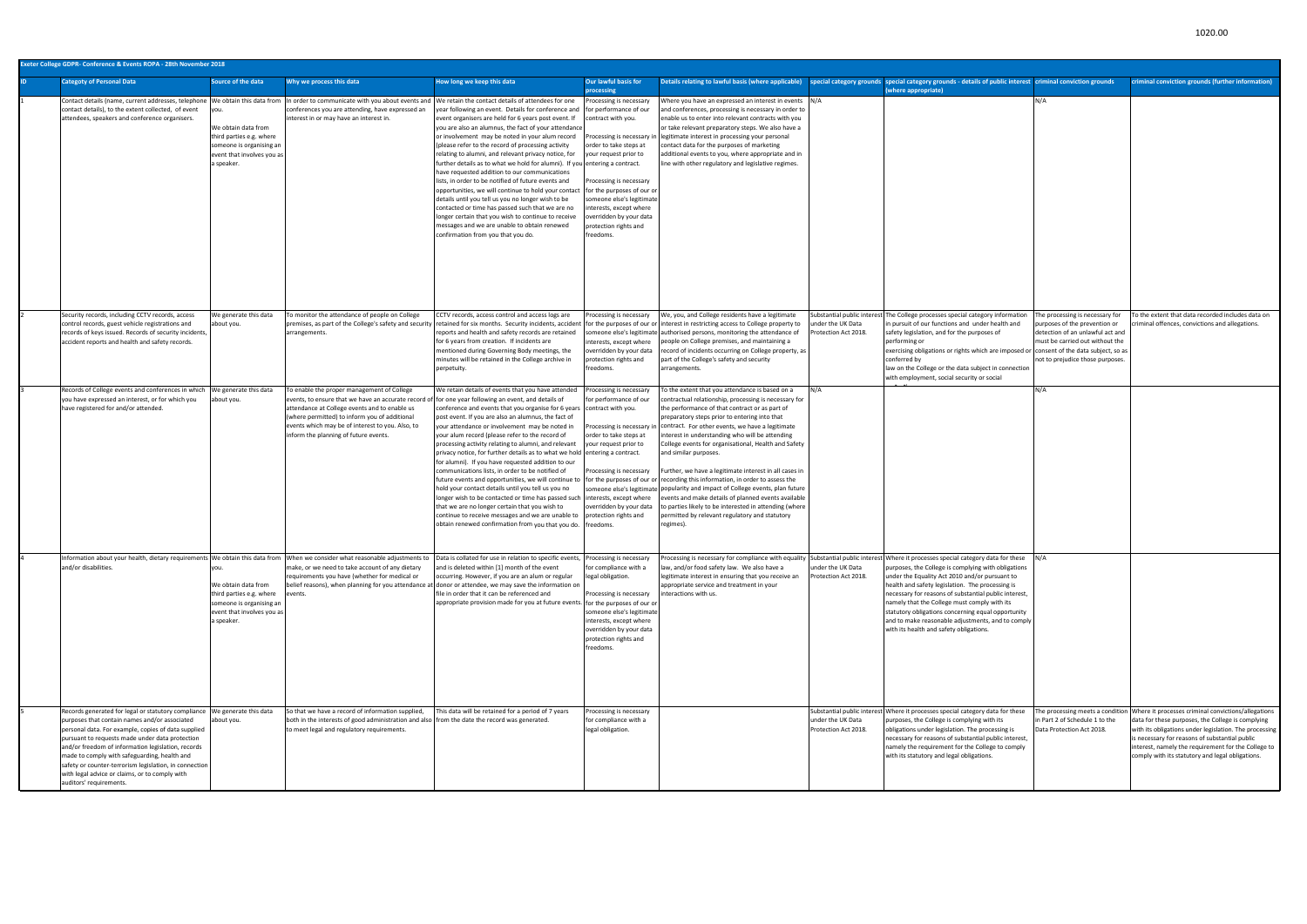| Exeter College GDPR- Conference & Events ROPA - 28th November 2018 |                                                                                                                                                                                                                                                                                                                                                                                                                                                             |                                                                                                                                 |                                                                                                                                                                                                                                                                                                                                                        |                                                                                                                                                                                                                                                                                                                                                                                                                                                                                                                                                                                                                                                                                                                                                                                                                                                                                       |                                                                                                                                                                                                                                                                                                                                            |                                                                                                                                                                                                                                                                                                                                                                                                                                                                                                                                                                                                                                                                                                                                                                                                                  |                                                                         |                                                                                                                                                                                                                                                                                                                                                                                                                                                                                                                                                                     |                                                                                                                                                                             |                                                                                                                                                                                                                                                                                                                                                                  |
|--------------------------------------------------------------------|-------------------------------------------------------------------------------------------------------------------------------------------------------------------------------------------------------------------------------------------------------------------------------------------------------------------------------------------------------------------------------------------------------------------------------------------------------------|---------------------------------------------------------------------------------------------------------------------------------|--------------------------------------------------------------------------------------------------------------------------------------------------------------------------------------------------------------------------------------------------------------------------------------------------------------------------------------------------------|---------------------------------------------------------------------------------------------------------------------------------------------------------------------------------------------------------------------------------------------------------------------------------------------------------------------------------------------------------------------------------------------------------------------------------------------------------------------------------------------------------------------------------------------------------------------------------------------------------------------------------------------------------------------------------------------------------------------------------------------------------------------------------------------------------------------------------------------------------------------------------------|--------------------------------------------------------------------------------------------------------------------------------------------------------------------------------------------------------------------------------------------------------------------------------------------------------------------------------------------|------------------------------------------------------------------------------------------------------------------------------------------------------------------------------------------------------------------------------------------------------------------------------------------------------------------------------------------------------------------------------------------------------------------------------------------------------------------------------------------------------------------------------------------------------------------------------------------------------------------------------------------------------------------------------------------------------------------------------------------------------------------------------------------------------------------|-------------------------------------------------------------------------|---------------------------------------------------------------------------------------------------------------------------------------------------------------------------------------------------------------------------------------------------------------------------------------------------------------------------------------------------------------------------------------------------------------------------------------------------------------------------------------------------------------------------------------------------------------------|-----------------------------------------------------------------------------------------------------------------------------------------------------------------------------|------------------------------------------------------------------------------------------------------------------------------------------------------------------------------------------------------------------------------------------------------------------------------------------------------------------------------------------------------------------|
|                                                                    | <b>Categoty of Personal Data</b>                                                                                                                                                                                                                                                                                                                                                                                                                            | Source of the data                                                                                                              | Why we process this data                                                                                                                                                                                                                                                                                                                               | How long we keep this data                                                                                                                                                                                                                                                                                                                                                                                                                                                                                                                                                                                                                                                                                                                                                                                                                                                            | <b>Our lawful basis for</b><br>processing                                                                                                                                                                                                                                                                                                  |                                                                                                                                                                                                                                                                                                                                                                                                                                                                                                                                                                                                                                                                                                                                                                                                                  |                                                                         | Details relating to lawful basis (where applicable) special category grounds special category grounds - details of public interest criminal conviction grounds<br>(where appropriate)                                                                                                                                                                                                                                                                                                                                                                               |                                                                                                                                                                             | criminal conviction grounds (further information)                                                                                                                                                                                                                                                                                                                |
|                                                                    | Contact details (name, current addresses, telephone<br>contact details), to the extent collected, of event<br>attendees, speakers and conference organisers.                                                                                                                                                                                                                                                                                                | ou.<br>We obtain data from<br>third parties e.g. where<br>someone is organising an<br>event that involves you as<br>a speaker.  | We obtain this data from In order to communicate with you about events and We retain the contact details of attendees for one<br>conferences you are attending, have expressed an<br>interest in or may have an interest in.                                                                                                                           | year following an event. Details for conference and<br>event organisers are held for 6 years post event. If<br>you are also an alumnus, the fact of your attendance<br>or involvement may be noted in your alum record<br>(please refer to the record of processing activity<br>relating to alumni, and relevant privacy notice, for<br>further details as to what we hold for alumni). If you entering a contract.<br>have requested addition to our communications<br>lists, in order to be notified of future events and<br>opportunities, we will continue to hold your contact<br>details until you tell us you no longer wish to be<br>contacted or time has passed such that we are no<br>longer certain that you wish to continue to receive<br>messages and we are unable to obtain renewed<br>confirmation from you that you do.                                            | Processing is necessary<br>for performance of our<br>contract with you.<br>Processing is necessary in<br>order to take steps at<br>your request prior to<br>Processing is necessary<br>for the purposes of our or<br>someone else's legitimate<br>interests, except where<br>overridden by your data<br>protection rights and<br>freedoms. | Where you have an expressed an interest in events N/A<br>and conferences, processing is necessary in order to<br>enable us to enter into relevant contracts with you<br>or take relevant preparatory steps. We also have a<br>legitimate interest in processing your personal<br>contact data for the purposes of marketing<br>additional events to you, where appropriate and in<br>line with other regulatory and legislative regimes.                                                                                                                                                                                                                                                                                                                                                                         |                                                                         |                                                                                                                                                                                                                                                                                                                                                                                                                                                                                                                                                                     | N/A                                                                                                                                                                         |                                                                                                                                                                                                                                                                                                                                                                  |
|                                                                    | Security records, including CCTV records, access<br>control records, guest vehicle registrations and<br>records of keys issued. Records of security incidents,<br>accident reports and health and safety records.                                                                                                                                                                                                                                           | We generate this data<br>about you.                                                                                             | To monitor the attendance of people on College<br>premises, as part of the College's safety and securit<br>arrangements.                                                                                                                                                                                                                               | CCTV records, access control and access logs are<br>retained for six months. Security incidents, accident<br>reports and health and safety records are retained<br>for 6 years from creation. If incidents are<br>mentioned during Governing Body meetings, the<br>minutes will be retained in the College archive in<br>perpetuity.                                                                                                                                                                                                                                                                                                                                                                                                                                                                                                                                                  | Processing is necessary<br>interests, except where<br>overridden by your data<br>protection rights and<br>freedoms.                                                                                                                                                                                                                        | We, you, and College residents have a legitimate<br>for the purposes of our or interest in restricting access to College property to<br>someone else's legitimate authorised persons, monitoring the attendance of<br>people on College premises, and maintaining a<br>record of incidents occurring on College property, as<br>part of the College's safety and security<br>arrangements.                                                                                                                                                                                                                                                                                                                                                                                                                       | Substantial public interest<br>under the UK Data<br>rotection Act 2018. | The College processes special category information<br>n pursuit of our functions and under health and<br>safety legislation, and for the purposes of<br>performing or<br>exercising obligations or rights which are imposed or consent of the data subject, so as<br>conferred by<br>law on the College or the data subject in connection<br>with employment, social security or social                                                                                                                                                                             | The processing is necessary for<br>purposes of the prevention or<br>detection of an unlawful act and<br>must be carried out without the<br>not to prejudice those purposes. | To the extent that data recorded includes data on<br>iminal offences, convictions and allegations.                                                                                                                                                                                                                                                               |
|                                                                    | Records of College events and conferences in which<br>you have expressed an interest, or for which you<br>have registered for and/or attended.                                                                                                                                                                                                                                                                                                              | We generate this data<br>about you.                                                                                             | To enable the proper management of College<br>events, to ensure that we have an accurate record<br>attendance at College events and to enable us<br>(where permitted) to inform you of additional<br>events which may be of interest to you. Also, to<br>inform the planning of future events.                                                         | We retain details of events that you have attended<br>for one year following an event, and details of<br>conference and events that you organise for 6 years<br>post event. If you are also an alumnus, the fact of<br>your attendance or involvement may be noted in<br>your alum record (please refer to the record of<br>processing activity relating to alumni, and relevant<br>privacy notice, for further details as to what we hold<br>for alumni). If you have requested addition to our<br>communications lists, in order to be notified of<br>future events and opportunities, we will continue to<br>hold your contact details until you tell us you no<br>longer wish to be contacted or time has passed such<br>that we are no longer certain that you wish to<br>continue to receive messages and we are unable to<br>obtain renewed confirmation from you that you do. | Processing is necessary<br>for performance of our<br>contract with you.<br>Processing is necessary in<br>order to take steps at<br>your request prior to<br>entering a contract.<br>Processing is necessary<br>interests, except where<br>overridden by your data<br>protection rights and<br>freedoms.                                    | To the extent that you attendance is based on a<br>contractual relationship, processing is necessary for<br>the performance of that contract or as part of<br>preparatory steps prior to entering into that<br>contract. For other events, we have a legitimate<br>interest in understanding who will be attending<br>College events for organisational, Health and Safety<br>and similar purposes.<br>Further, we have a legitimate interest in all cases in<br>for the purposes of our or recording this information, in order to assess the<br>someone else's legitimate popularity and impact of College events, plan future<br>events and make details of planned events available<br>to parties likely to be interested in attending (where<br>permitted by relevant regulatory and statutory<br>regimes). |                                                                         |                                                                                                                                                                                                                                                                                                                                                                                                                                                                                                                                                                     | N/A                                                                                                                                                                         |                                                                                                                                                                                                                                                                                                                                                                  |
|                                                                    | and/or disabilities.                                                                                                                                                                                                                                                                                                                                                                                                                                        | you.<br>We obtain data from<br>third parties e.g. where<br>someone is organising an<br>event that involves you as<br>a speaker. | Information about your health, dietary requirements We obtain this data from  When we consider what reasonable adjustments to<br>make, or we need to take account of any dietary<br>requirements you have (whether for medical or<br>belief reasons), when planning for you attendance at donor or attendee, we may save the information on<br>events. | Data is collated for use in relation to specific events,<br>and is deleted within [1] month of the event<br>occurring. However, if you are an alum or regular<br>file in order that it can be referenced and<br>appropriate provision made for you at future events.                                                                                                                                                                                                                                                                                                                                                                                                                                                                                                                                                                                                                  | Processing is necessary<br>for compliance with a<br>legal obligation.<br>Processing is necessary<br>for the purposes of our or<br>someone else's legitimate<br>interests, except where<br>overridden by your data<br>protection rights and<br>freedoms.                                                                                    | law, and/or food safety law. We also have a<br>legitimate interest in ensuring that you receive an<br>appropriate service and treatment in your<br>interactions with us.                                                                                                                                                                                                                                                                                                                                                                                                                                                                                                                                                                                                                                         | under the UK Data<br>Protection Act 2018.                               | Processing is necessary for compliance with equality Substantial public interest Where it processes special category data for these N/A<br>purposes, the College is complying with obligations<br>under the Equality Act 2010 and/or pursuant to<br>health and safety legislation. The processing is<br>necessary for reasons of substantial public interest,<br>namely that the College must comply with its<br>statutory obligations concerning equal opportunity<br>and to make reasonable adjustments, and to comply<br>with its health and safety obligations. |                                                                                                                                                                             |                                                                                                                                                                                                                                                                                                                                                                  |
|                                                                    | Records generated for legal or statutory compliance<br>purposes that contain names and/or associated<br>personal data. For example, copies of data supplied<br>pursuant to requests made under data protection<br>and/or freedom of information legislation, records<br>made to comply with safeguarding, health and<br>safety or counter-terrorism legislation, in connection<br>with legal advice or claims, or to comply with<br>auditors' requirements. | We generate this data<br>bout you.                                                                                              | So that we have a record of information supplied,<br>both in the interests of good administration and also from the date the record was generated.<br>to meet legal and regulatory requirements.                                                                                                                                                       | This data will be retained for a period of 7 years                                                                                                                                                                                                                                                                                                                                                                                                                                                                                                                                                                                                                                                                                                                                                                                                                                    | Processing is necessary<br>for compliance with a<br>legal obligation.                                                                                                                                                                                                                                                                      |                                                                                                                                                                                                                                                                                                                                                                                                                                                                                                                                                                                                                                                                                                                                                                                                                  | under the UK Data<br>Protection Act 2018.                               | Substantial public interest Where it processes special category data for these<br>purposes, the College is complying with its<br>obligations under legislation. The processing is<br>necessary for reasons of substantial public interest,<br>namely the requirement for the College to comply<br>with its statutory and legal obligations.                                                                                                                                                                                                                         | n Part 2 of Schedule 1 to the<br>Data Protection Act 2018.                                                                                                                  | The processing meets a condition Where it processes criminal convictions/allegations<br>data for these purposes, the College is complying<br>with its obligations under legislation. The processing<br>is necessary for reasons of substantial public<br>interest, namely the requirement for the College to<br>comply with its statutory and legal obligations. |

## 1020.00